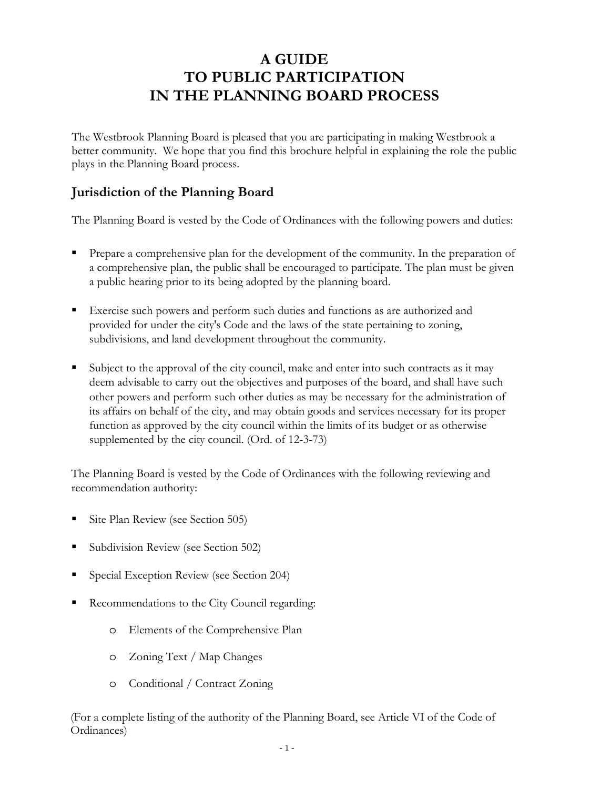# **A GUIDE TO PUBLIC PARTICIPATION IN THE PLANNING BOARD PROCESS**

The Westbrook Planning Board is pleased that you are participating in making Westbrook a better community. We hope that you find this brochure helpful in explaining the role the public plays in the Planning Board process.

#### **Jurisdiction of the Planning Board**

The Planning Board is vested by the Code of Ordinances with the following powers and duties:

- Prepare a comprehensive plan for the development of the community. In the preparation of a comprehensive plan, the public shall be encouraged to participate. The plan must be given a public hearing prior to its being adopted by the planning board.
- Exercise such powers and perform such duties and functions as are authorized and provided for under the city's Code and the laws of the state pertaining to zoning, subdivisions, and land development throughout the community.
- Subject to the approval of the city council, make and enter into such contracts as it may deem advisable to carry out the objectives and purposes of the board, and shall have such other powers and perform such other duties as may be necessary for the administration of its affairs on behalf of the city, and may obtain goods and services necessary for its proper function as approved by the city council within the limits of its budget or as otherwise supplemented by the city council. (Ord. of 12-3-73)

The Planning Board is vested by the Code of Ordinances with the following reviewing and recommendation authority:

- Site Plan Review (see Section 505)
- Subdivision Review (see Section 502)
- Special Exception Review (see Section 204)
- Recommendations to the City Council regarding:
	- o Elements of the Comprehensive Plan
	- o Zoning Text / Map Changes
	- o Conditional / Contract Zoning

(For a complete listing of the authority of the Planning Board, see Article VI of the Code of Ordinances)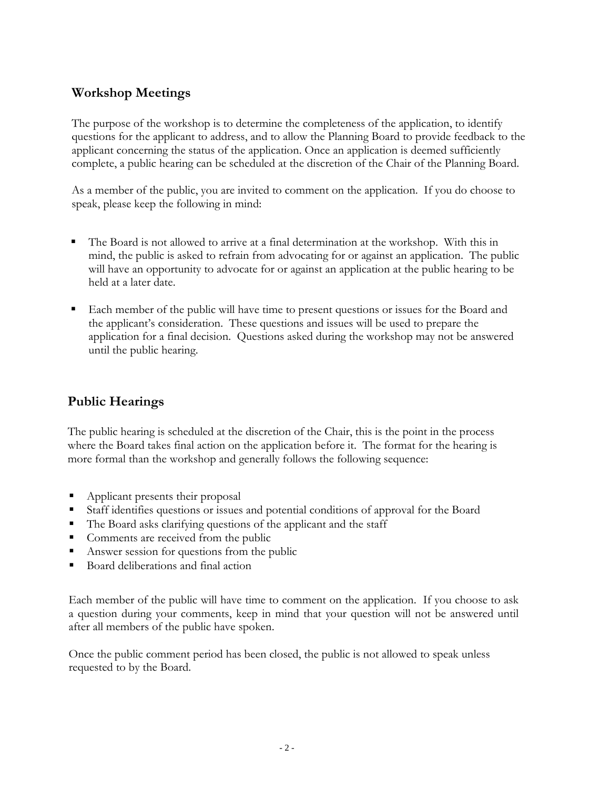### **Workshop Meetings**

The purpose of the workshop is to determine the completeness of the application, to identify questions for the applicant to address, and to allow the Planning Board to provide feedback to the applicant concerning the status of the application. Once an application is deemed sufficiently complete, a public hearing can be scheduled at the discretion of the Chair of the Planning Board.

As a member of the public, you are invited to comment on the application. If you do choose to speak, please keep the following in mind:

- The Board is not allowed to arrive at a final determination at the workshop. With this in mind, the public is asked to refrain from advocating for or against an application. The public will have an opportunity to advocate for or against an application at the public hearing to be held at a later date.
- Each member of the public will have time to present questions or issues for the Board and the applicant's consideration. These questions and issues will be used to prepare the application for a final decision. Questions asked during the workshop may not be answered until the public hearing.

# **Public Hearings**

The public hearing is scheduled at the discretion of the Chair, this is the point in the process where the Board takes final action on the application before it. The format for the hearing is more formal than the workshop and generally follows the following sequence:

- Applicant presents their proposal
- Staff identifies questions or issues and potential conditions of approval for the Board
- The Board asks clarifying questions of the applicant and the staff
- Comments are received from the public
- Answer session for questions from the public
- Board deliberations and final action

Each member of the public will have time to comment on the application. If you choose to ask a question during your comments, keep in mind that your question will not be answered until after all members of the public have spoken.

Once the public comment period has been closed, the public is not allowed to speak unless requested to by the Board.